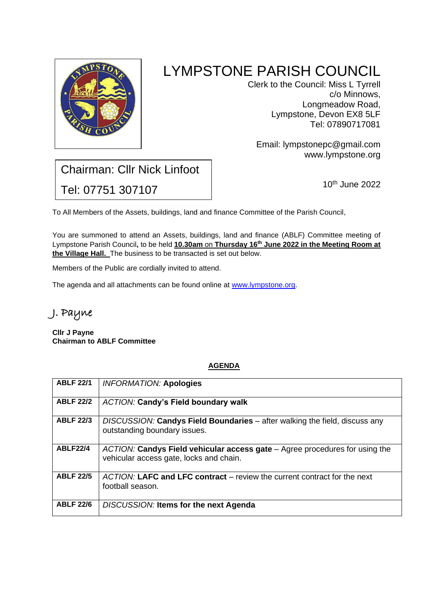

# LYMPSTONE PARISH COUNCIL

Clerk to the Council: Miss L Tyrrell c/o Minnows, Longmeadow Road, Lympstone, Devon EX8 5LF Tel: 07890717081

Email: [lympstonep](mailto:lympstone-pc@leriche6.wanadoo.co.uk)c@gmail.com www.lympstone.org

## Chairman: Cllr Nick Linfoot Tel: 07751 307107

10th June 2022

To All Members of the Assets, buildings, land and finance Committee of the Parish Council,

You are summoned to attend an Assets, buildings, land and finance (ABLF) Committee meeting of Lympstone Parish Council, to be held **10.30am on Thursday 16<sup>th</sup> June 2022 in the Meeting Room at the Village Hall.** The business to be transacted is set out below.

Members of the Public are cordially invited to attend.

The agenda and all attachments can be found online at [www.lympstone.org.](http://www.lympstone.org/)

### J. Payne

**Cllr J Payne Chairman to ABLF Committee**

#### **AGENDA**

| <b>ABLF 22/1</b> | <b>INFORMATION: Apologies</b>                                                                                          |
|------------------|------------------------------------------------------------------------------------------------------------------------|
| <b>ABLF 22/2</b> | <b>ACTION: Candy's Field boundary walk</b>                                                                             |
| <b>ABLF 22/3</b> | DISCUSSION: Candys Field Boundaries – after walking the field, discuss any<br>outstanding boundary issues.             |
| <b>ABLF22/4</b>  | ACTION: Candys Field vehicular access gate – Agree procedures for using the<br>vehicular access gate, locks and chain. |
| <b>ABLF 22/5</b> | ACTION: LAFC and LFC contract – review the current contract for the next<br>football season.                           |
| <b>ABLF 22/6</b> | DISCUSSION: Items for the next Agenda                                                                                  |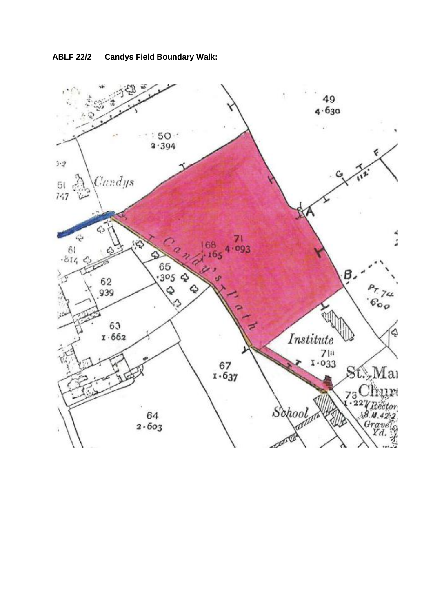